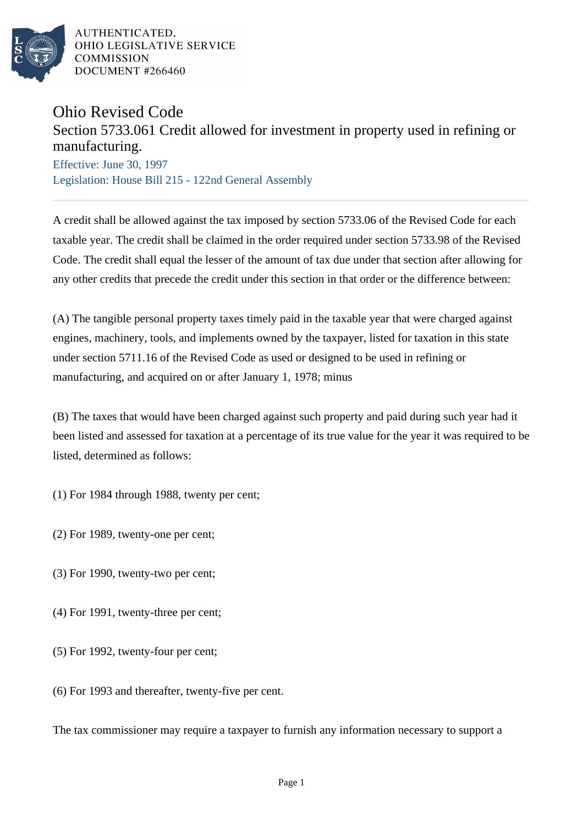

AUTHENTICATED. OHIO LEGISLATIVE SERVICE **COMMISSION** DOCUMENT #266460

## Ohio Revised Code

## Section 5733.061 Credit allowed for investment in property used in refining or manufacturing.

Effective: June 30, 1997 Legislation: House Bill 215 - 122nd General Assembly

A credit shall be allowed against the tax imposed by section 5733.06 of the Revised Code for each taxable year. The credit shall be claimed in the order required under section 5733.98 of the Revised Code. The credit shall equal the lesser of the amount of tax due under that section after allowing for any other credits that precede the credit under this section in that order or the difference between:

(A) The tangible personal property taxes timely paid in the taxable year that were charged against engines, machinery, tools, and implements owned by the taxpayer, listed for taxation in this state under section 5711.16 of the Revised Code as used or designed to be used in refining or manufacturing, and acquired on or after January 1, 1978; minus

(B) The taxes that would have been charged against such property and paid during such year had it been listed and assessed for taxation at a percentage of its true value for the year it was required to be listed, determined as follows:

(1) For 1984 through 1988, twenty per cent;

- (2) For 1989, twenty-one per cent;
- (3) For 1990, twenty-two per cent;
- (4) For 1991, twenty-three per cent;
- (5) For 1992, twenty-four per cent;
- (6) For 1993 and thereafter, twenty-five per cent.

The tax commissioner may require a taxpayer to furnish any information necessary to support a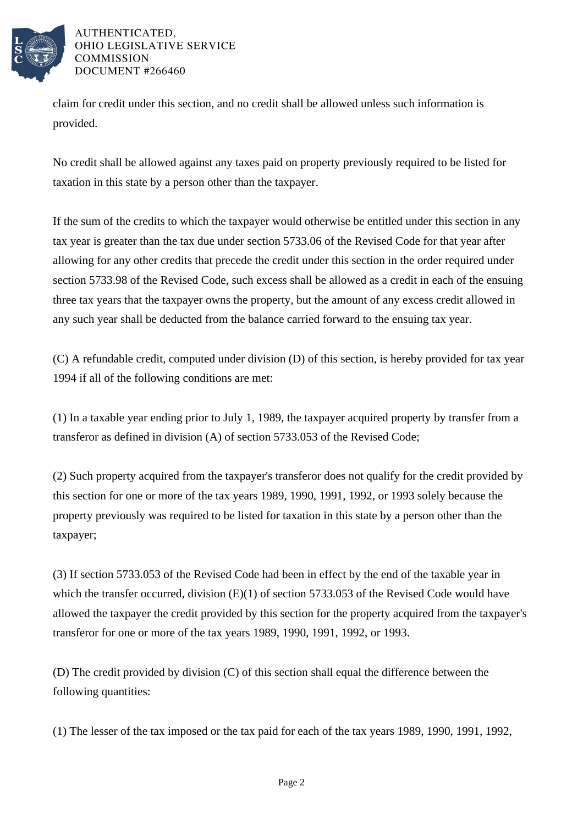

AUTHENTICATED. OHIO LEGISLATIVE SERVICE **COMMISSION** DOCUMENT #266460

claim for credit under this section, and no credit shall be allowed unless such information is provided.

No credit shall be allowed against any taxes paid on property previously required to be listed for taxation in this state by a person other than the taxpayer.

If the sum of the credits to which the taxpayer would otherwise be entitled under this section in any tax year is greater than the tax due under section 5733.06 of the Revised Code for that year after allowing for any other credits that precede the credit under this section in the order required under section 5733.98 of the Revised Code, such excess shall be allowed as a credit in each of the ensuing three tax years that the taxpayer owns the property, but the amount of any excess credit allowed in any such year shall be deducted from the balance carried forward to the ensuing tax year.

(C) A refundable credit, computed under division (D) of this section, is hereby provided for tax year 1994 if all of the following conditions are met:

(1) In a taxable year ending prior to July 1, 1989, the taxpayer acquired property by transfer from a transferor as defined in division (A) of section 5733.053 of the Revised Code;

(2) Such property acquired from the taxpayer's transferor does not qualify for the credit provided by this section for one or more of the tax years 1989, 1990, 1991, 1992, or 1993 solely because the property previously was required to be listed for taxation in this state by a person other than the taxpayer;

(3) If section 5733.053 of the Revised Code had been in effect by the end of the taxable year in which the transfer occurred, division (E)(1) of section 5733.053 of the Revised Code would have allowed the taxpayer the credit provided by this section for the property acquired from the taxpayer's transferor for one or more of the tax years 1989, 1990, 1991, 1992, or 1993.

(D) The credit provided by division (C) of this section shall equal the difference between the following quantities:

(1) The lesser of the tax imposed or the tax paid for each of the tax years 1989, 1990, 1991, 1992,